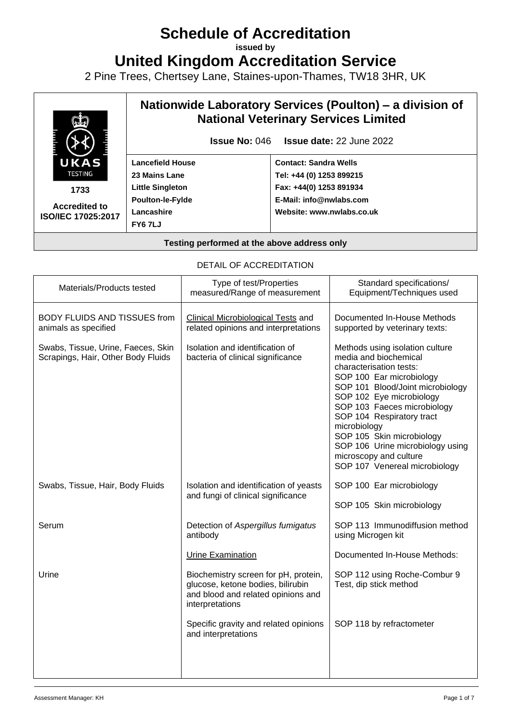# **Schedule of Accreditation**

**issued by**

**United Kingdom Accreditation Service**

2 Pine Trees, Chertsey Lane, Staines-upon-Thames, TW18 3HR, UK



| DETAIL OF ACCREDITATION                                                  |                                                                                                                                    |                                                                                                                                                                                                                                                                                                                                                                                         |
|--------------------------------------------------------------------------|------------------------------------------------------------------------------------------------------------------------------------|-----------------------------------------------------------------------------------------------------------------------------------------------------------------------------------------------------------------------------------------------------------------------------------------------------------------------------------------------------------------------------------------|
| Materials/Products tested                                                | Type of test/Properties<br>measured/Range of measurement                                                                           | Standard specifications/<br>Equipment/Techniques used                                                                                                                                                                                                                                                                                                                                   |
| <b>BODY FLUIDS AND TISSUES from</b><br>animals as specified              | <b>Clinical Microbiological Tests and</b><br>related opinions and interpretations                                                  | Documented In-House Methods<br>supported by veterinary texts:                                                                                                                                                                                                                                                                                                                           |
| Swabs, Tissue, Urine, Faeces, Skin<br>Scrapings, Hair, Other Body Fluids | Isolation and identification of<br>bacteria of clinical significance                                                               | Methods using isolation culture<br>media and biochemical<br>characterisation tests:<br>SOP 100 Ear microbiology<br>SOP 101 Blood/Joint microbiology<br>SOP 102 Eye microbiology<br>SOP 103 Faeces microbiology<br>SOP 104 Respiratory tract<br>microbiology<br>SOP 105 Skin microbiology<br>SOP 106 Urine microbiology using<br>microscopy and culture<br>SOP 107 Venereal microbiology |
| Swabs, Tissue, Hair, Body Fluids                                         | Isolation and identification of yeasts<br>and fungi of clinical significance                                                       | SOP 100 Ear microbiology<br>SOP 105 Skin microbiology                                                                                                                                                                                                                                                                                                                                   |
| Serum                                                                    | Detection of Aspergillus fumigatus<br>antibody                                                                                     | SOP 113 Immunodiffusion method<br>using Microgen kit                                                                                                                                                                                                                                                                                                                                    |
|                                                                          | <b>Urine Examination</b>                                                                                                           | Documented In-House Methods:                                                                                                                                                                                                                                                                                                                                                            |
| Urine                                                                    | Biochemistry screen for pH, protein,<br>glucose, ketone bodies, bilirubin<br>and blood and related opinions and<br>interpretations | SOP 112 using Roche-Combur 9<br>Test, dip stick method                                                                                                                                                                                                                                                                                                                                  |
|                                                                          | Specific gravity and related opinions<br>and interpretations                                                                       | SOP 118 by refractometer                                                                                                                                                                                                                                                                                                                                                                |

# DETAIL OF ACCREDITATION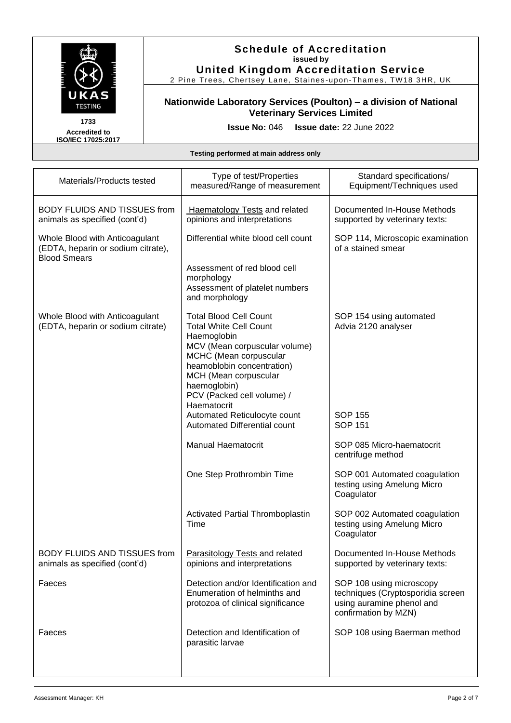

2 Pine Trees, Chertsey Lane, Staines-upon-Thames, TW18 3HR, UK

# **Nationwide Laboratory Services (Poulton) – a division of National Veterinary Services Limited**

**1733 Accredited to ISO/IEC 17025:2017**

**Issue No:** 046 **Issue date:** 22 June 2022

| Materials/Products tested                                                                   | Type of test/Properties<br>measured/Range of measurement                                                                                                                                                                                                     | Standard specifications/<br>Equipment/Techniques used                                                              |
|---------------------------------------------------------------------------------------------|--------------------------------------------------------------------------------------------------------------------------------------------------------------------------------------------------------------------------------------------------------------|--------------------------------------------------------------------------------------------------------------------|
| <b>BODY FLUIDS AND TISSUES from</b><br>animals as specified (cont'd)                        | <b>Haematology Tests and related</b><br>opinions and interpretations                                                                                                                                                                                         | Documented In-House Methods<br>supported by veterinary texts:                                                      |
| Whole Blood with Anticoagulant<br>(EDTA, heparin or sodium citrate),<br><b>Blood Smears</b> | Differential white blood cell count                                                                                                                                                                                                                          | SOP 114, Microscopic examination<br>of a stained smear                                                             |
|                                                                                             | Assessment of red blood cell<br>morphology<br>Assessment of platelet numbers<br>and morphology                                                                                                                                                               |                                                                                                                    |
| Whole Blood with Anticoagulant<br>(EDTA, heparin or sodium citrate)                         | <b>Total Blood Cell Count</b><br><b>Total White Cell Count</b><br>Haemoglobin<br>MCV (Mean corpuscular volume)<br>MCHC (Mean corpuscular<br>heamoblobin concentration)<br>MCH (Mean corpuscular<br>haemoglobin)<br>PCV (Packed cell volume) /<br>Haematocrit | SOP 154 using automated<br>Advia 2120 analyser                                                                     |
|                                                                                             | Automated Reticulocyte count<br>Automated Differential count                                                                                                                                                                                                 | <b>SOP 155</b><br><b>SOP 151</b>                                                                                   |
|                                                                                             | <b>Manual Haematocrit</b>                                                                                                                                                                                                                                    | SOP 085 Micro-haematocrit<br>centrifuge method                                                                     |
|                                                                                             | One Step Prothrombin Time                                                                                                                                                                                                                                    | SOP 001 Automated coagulation<br>testing using Amelung Micro<br>Coagulator                                         |
|                                                                                             | Activated Partial Thromboplastin<br>Time                                                                                                                                                                                                                     | SOP 002 Automated coagulation<br>testing using Amelung Micro<br>Coagulator                                         |
| <b>BODY FLUIDS AND TISSUES from</b><br>animals as specified (cont'd)                        | Parasitology Tests and related<br>opinions and interpretations                                                                                                                                                                                               | Documented In-House Methods<br>supported by veterinary texts:                                                      |
| Faeces                                                                                      | Detection and/or Identification and<br>Enumeration of helminths and<br>protozoa of clinical significance                                                                                                                                                     | SOP 108 using microscopy<br>techniques (Cryptosporidia screen<br>using auramine phenol and<br>confirmation by MZN) |
| Faeces                                                                                      | Detection and Identification of<br>parasitic larvae                                                                                                                                                                                                          | SOP 108 using Baerman method                                                                                       |
|                                                                                             |                                                                                                                                                                                                                                                              |                                                                                                                    |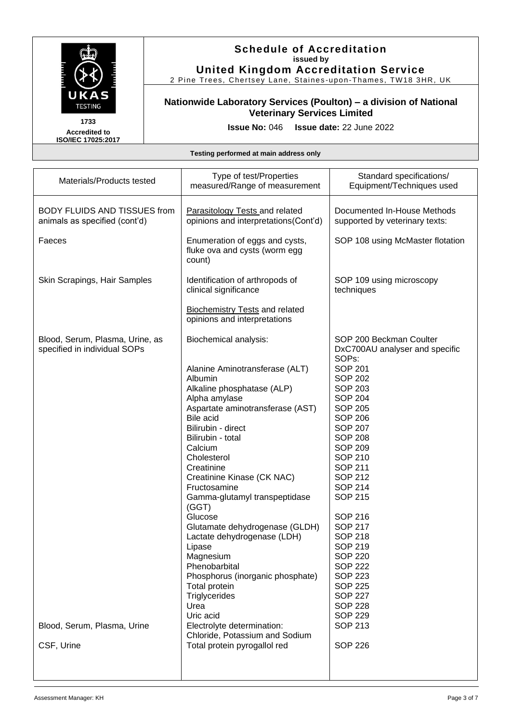

2 Pine Trees, Chertsey Lane, Staines -upon -Thames, TW18 3HR, UK

# **Nationwide Laboratory Services (Poulton) – a division of National Veterinary Services Limited**

**1733 Accredited to ISO/IEC 17025:2017**

**Issue No:** 046 **Issue date:** 22 June 2022

| Materials/Products tested                                            | Type of test/Properties<br>measured/Range of measurement                      | Standard specifications/<br>Equipment/Techniques used                          |
|----------------------------------------------------------------------|-------------------------------------------------------------------------------|--------------------------------------------------------------------------------|
| <b>BODY FLUIDS AND TISSUES from</b><br>animals as specified (cont'd) | <b>Parasitology Tests and related</b><br>opinions and interpretations(Cont'd) | Documented In-House Methods<br>supported by veterinary texts:                  |
| Faeces                                                               | Enumeration of eggs and cysts,<br>fluke ova and cysts (worm egg<br>count)     | SOP 108 using McMaster flotation                                               |
| Skin Scrapings, Hair Samples                                         | Identification of arthropods of<br>clinical significance                      | SOP 109 using microscopy<br>techniques                                         |
|                                                                      | <b>Biochemistry Tests and related</b><br>opinions and interpretations         |                                                                                |
| Blood, Serum, Plasma, Urine, as<br>specified in individual SOPs      | Biochemical analysis:                                                         | SOP 200 Beckman Coulter<br>DxC700AU analyser and specific<br>SOP <sub>s:</sub> |
|                                                                      | Alanine Aminotransferase (ALT)                                                | <b>SOP 201</b>                                                                 |
|                                                                      | Albumin                                                                       | <b>SOP 202</b>                                                                 |
|                                                                      | Alkaline phosphatase (ALP)                                                    | <b>SOP 203</b>                                                                 |
|                                                                      | Alpha amylase                                                                 | <b>SOP 204</b>                                                                 |
|                                                                      | Aspartate aminotransferase (AST)                                              | <b>SOP 205</b>                                                                 |
|                                                                      | <b>Bile acid</b>                                                              | <b>SOP 206</b>                                                                 |
|                                                                      | Bilirubin - direct                                                            | <b>SOP 207</b>                                                                 |
|                                                                      | Bilirubin - total                                                             | <b>SOP 208</b>                                                                 |
|                                                                      | Calcium                                                                       | <b>SOP 209</b>                                                                 |
|                                                                      | Cholesterol                                                                   | <b>SOP 210</b>                                                                 |
|                                                                      | Creatinine                                                                    | <b>SOP 211</b>                                                                 |
|                                                                      | Creatinine Kinase (CK NAC)                                                    | SOP 212                                                                        |
|                                                                      | Fructosamine                                                                  | <b>SOP 214</b>                                                                 |
|                                                                      | Gamma-glutamyl transpeptidase<br>(GGT)                                        | <b>SOP 215</b>                                                                 |
|                                                                      | Glucose                                                                       | <b>SOP 216</b>                                                                 |
|                                                                      | Glutamate dehydrogenase (GLDH)                                                | <b>SOP 217</b>                                                                 |
|                                                                      | Lactate dehydrogenase (LDH)                                                   | <b>SOP 218</b>                                                                 |
|                                                                      | Lipase                                                                        | <b>SOP 219</b>                                                                 |
|                                                                      | Magnesium                                                                     | <b>SOP 220</b>                                                                 |
|                                                                      | Phenobarbital                                                                 | <b>SOP 222</b>                                                                 |
|                                                                      | Phosphorus (inorganic phosphate)                                              | <b>SOP 223</b>                                                                 |
|                                                                      | Total protein                                                                 | <b>SOP 225</b>                                                                 |
|                                                                      | Triglycerides                                                                 | <b>SOP 227</b>                                                                 |
|                                                                      | Urea                                                                          | <b>SOP 228</b>                                                                 |
|                                                                      | Uric acid                                                                     | <b>SOP 229</b>                                                                 |
| Blood, Serum, Plasma, Urine                                          | Electrolyte determination:<br>Chloride, Potassium and Sodium                  | SOP 213                                                                        |
| CSF, Urine                                                           | Total protein pyrogallol red                                                  | <b>SOP 226</b>                                                                 |
|                                                                      |                                                                               |                                                                                |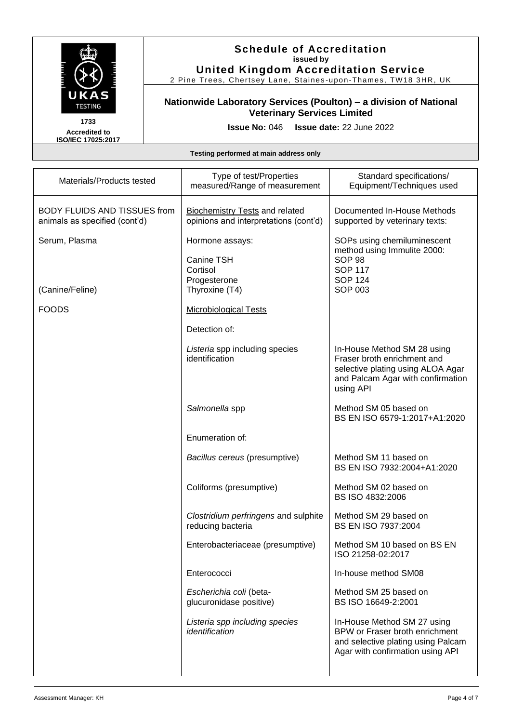

2 Pine Trees, Chertsey Lane, Staines -upon -Thames, TW18 3HR, UK

# **Nationwide Laboratory Services (Poulton) – a division of National Veterinary Services Limited**

**1733 Accredited to ISO/IEC 17025:2017**

**Issue No:** 046 **Issue date:** 22 June 2022

| Materials/Products tested                                            | Type of test/Properties<br>measured/Range of measurement                       | Standard specifications/<br>Equipment/Techniques used                                                                                             |
|----------------------------------------------------------------------|--------------------------------------------------------------------------------|---------------------------------------------------------------------------------------------------------------------------------------------------|
| <b>BODY FLUIDS AND TISSUES from</b><br>animals as specified (cont'd) | <b>Biochemistry Tests and related</b><br>opinions and interpretations (cont'd) | Documented In-House Methods<br>supported by veterinary texts:                                                                                     |
| Serum, Plasma                                                        | Hormone assays:                                                                | SOPs using chemiluminescent                                                                                                                       |
|                                                                      | Canine TSH<br>Cortisol<br>Progesterone                                         | method using Immulite 2000:<br>SOP <sub>98</sub><br><b>SOP 117</b><br><b>SOP 124</b>                                                              |
| (Canine/Feline)                                                      | Thyroxine (T4)                                                                 | <b>SOP 003</b>                                                                                                                                    |
| <b>FOODS</b>                                                         | <b>Microbiological Tests</b>                                                   |                                                                                                                                                   |
|                                                                      | Detection of:                                                                  |                                                                                                                                                   |
|                                                                      | Listeria spp including species<br>identification                               | In-House Method SM 28 using<br>Fraser broth enrichment and<br>selective plating using ALOA Agar<br>and Palcam Agar with confirmation<br>using API |
|                                                                      | Salmonella spp                                                                 | Method SM 05 based on<br>BS EN ISO 6579-1:2017+A1:2020                                                                                            |
|                                                                      | Enumeration of:                                                                |                                                                                                                                                   |
|                                                                      | Bacillus cereus (presumptive)                                                  | Method SM 11 based on<br>BS EN ISO 7932:2004+A1:2020                                                                                              |
|                                                                      | Coliforms (presumptive)                                                        | Method SM 02 based on<br>BS ISO 4832:2006                                                                                                         |
|                                                                      | Clostridium perfringens and sulphite<br>reducing bacteria                      | Method SM 29 based on<br>BS EN ISO 7937:2004                                                                                                      |
|                                                                      | Enterobacteriaceae (presumptive)                                               | Method SM 10 based on BS EN<br>ISO 21258-02:2017                                                                                                  |
|                                                                      | Enterococci                                                                    | In-house method SM08                                                                                                                              |
|                                                                      | Escherichia coli (beta-<br>glucuronidase positive)                             | Method SM 25 based on<br>BS ISO 16649-2:2001                                                                                                      |
|                                                                      | Listeria spp including species<br>identification                               | In-House Method SM 27 using<br>BPW or Fraser broth enrichment<br>and selective plating using Palcam<br>Agar with confirmation using API           |
|                                                                      |                                                                                |                                                                                                                                                   |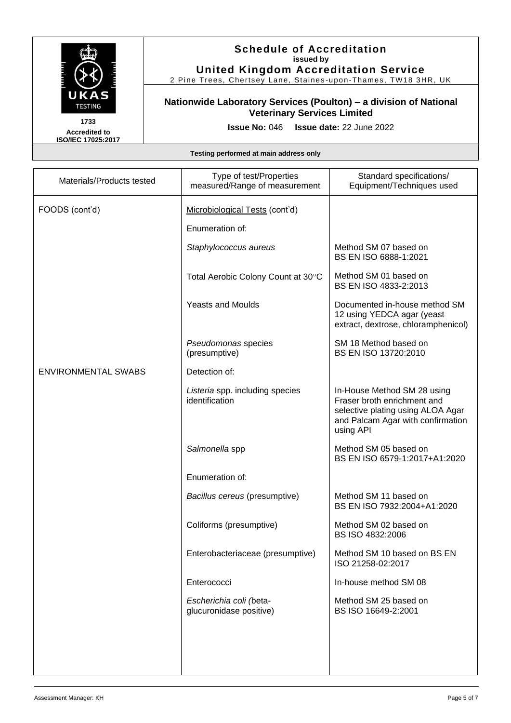

**Accredited to ISO/IEC 17025:2017**

### **Schedule of Accreditation issued by United Kingdom Accreditation Service**

2 Pine Trees, Chertsey Lane, Staines-upon-Thames, TW18 3HR, UK

# **Nationwide Laboratory Services (Poulton) – a division of National Veterinary Services Limited**

**Issue No:** 046 **Issue date:** 22 June 2022

| Materials/Products tested  | Type of test/Properties<br>measured/Range of measurement | Standard specifications/<br>Equipment/Techniques used                                                                                             |
|----------------------------|----------------------------------------------------------|---------------------------------------------------------------------------------------------------------------------------------------------------|
| FOODS (cont'd)             | Microbiological Tests (cont'd)                           |                                                                                                                                                   |
|                            | Enumeration of:                                          |                                                                                                                                                   |
|                            | Staphylococcus aureus                                    | Method SM 07 based on<br>BS EN ISO 6888-1:2021                                                                                                    |
|                            | Total Aerobic Colony Count at 30°C                       | Method SM 01 based on<br>BS EN ISO 4833-2:2013                                                                                                    |
|                            | <b>Yeasts and Moulds</b>                                 | Documented in-house method SM<br>12 using YEDCA agar (yeast<br>extract, dextrose, chloramphenicol)                                                |
|                            | Pseudomonas species<br>(presumptive)                     | SM 18 Method based on<br>BS EN ISO 13720:2010                                                                                                     |
| <b>ENVIRONMENTAL SWABS</b> | Detection of:                                            |                                                                                                                                                   |
|                            | Listeria spp. including species<br>identification        | In-House Method SM 28 using<br>Fraser broth enrichment and<br>selective plating using ALOA Agar<br>and Palcam Agar with confirmation<br>using API |
|                            | Salmonella spp                                           | Method SM 05 based on<br>BS EN ISO 6579-1:2017+A1:2020                                                                                            |
|                            | Enumeration of:                                          |                                                                                                                                                   |
|                            | Bacillus cereus (presumptive)                            | Method SM 11 based on<br>BS EN ISO 7932:2004+A1:2020                                                                                              |
|                            | Coliforms (presumptive)                                  | Method SM 02 based on<br>BS ISO 4832:2006                                                                                                         |
|                            | Enterobacteriaceae (presumptive)                         | Method SM 10 based on BS EN<br>ISO 21258-02:2017                                                                                                  |
|                            | Enterococci                                              | In-house method SM 08                                                                                                                             |
|                            | Escherichia coli (beta-<br>glucuronidase positive)       | Method SM 25 based on<br>BS ISO 16649-2:2001                                                                                                      |
|                            |                                                          |                                                                                                                                                   |
|                            |                                                          |                                                                                                                                                   |
|                            |                                                          |                                                                                                                                                   |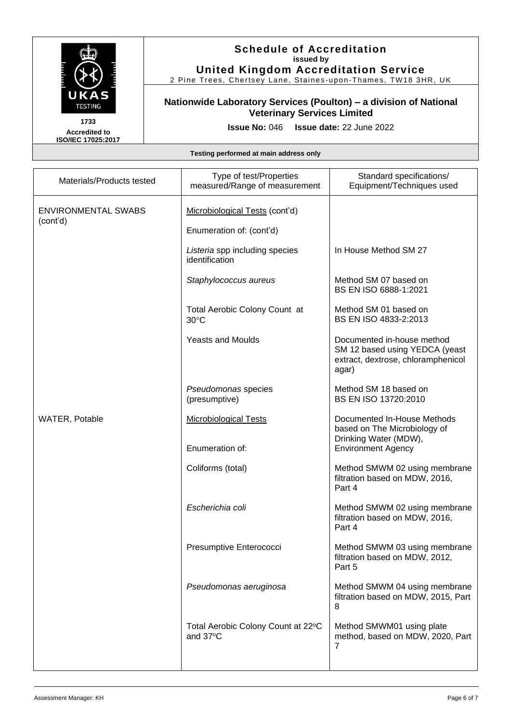

2 Pine Trees, Chertsey Lane, Staines -upon -Thames, TW18 3HR, UK

# **Nationwide Laboratory Services (Poulton) – a division of National Veterinary Services Limited**

**Accredited to ISO/IEC 17025:2017** **Issue No:** 046 **Issue date:** 22 June 2022

| Materials/Products tested              | Type of test/Properties<br>measured/Range of measurement | Standard specifications/<br>Equipment/Techniques used                                                       |
|----------------------------------------|----------------------------------------------------------|-------------------------------------------------------------------------------------------------------------|
| <b>ENVIRONMENTAL SWABS</b><br>(cont'd) | Microbiological Tests (cont'd)                           |                                                                                                             |
|                                        | Enumeration of: (cont'd)                                 |                                                                                                             |
|                                        | Listeria spp including species<br>identification         | In House Method SM 27                                                                                       |
|                                        | Staphylococcus aureus                                    | Method SM 07 based on<br>BS EN ISO 6888-1:2021                                                              |
|                                        | Total Aerobic Colony Count at<br>$30^{\circ}$ C          | Method SM 01 based on<br>BS EN ISO 4833-2:2013                                                              |
|                                        | <b>Yeasts and Moulds</b>                                 | Documented in-house method<br>SM 12 based using YEDCA (yeast<br>extract, dextrose, chloramphenicol<br>agar) |
|                                        | Pseudomonas species<br>(presumptive)                     | Method SM 18 based on<br>BS EN ISO 13720:2010                                                               |
| WATER, Potable                         | <b>Microbiological Tests</b>                             | Documented In-House Methods<br>based on The Microbiology of<br>Drinking Water (MDW),                        |
|                                        | Enumeration of:                                          | <b>Environment Agency</b>                                                                                   |
|                                        | Coliforms (total)                                        | Method SMWM 02 using membrane<br>filtration based on MDW, 2016,<br>Part 4                                   |
|                                        | Escherichia coli                                         | Method SMWM 02 using membrane<br>filtration based on MDW, 2016,<br>Part 4                                   |
|                                        | Presumptive Enterococci                                  | Method SMWM 03 using membrane<br>filtration based on MDW, 2012,<br>Part 5                                   |
|                                        | Pseudomonas aeruginosa                                   | Method SMWM 04 using membrane<br>filtration based on MDW, 2015, Part<br>8                                   |
|                                        | Total Aerobic Colony Count at 22°C<br>and 37°C           | Method SMWM01 using plate<br>method, based on MDW, 2020, Part<br>$\overline{7}$                             |
|                                        |                                                          |                                                                                                             |